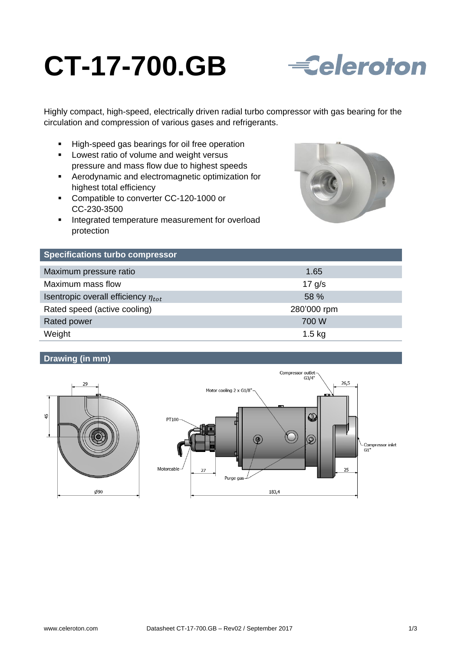# **CT-17-700.GB**



Highly compact, high-speed, electrically driven radial turbo compressor with gas bearing for the circulation and compression of various gases and refrigerants.

- High-speed gas bearings for oil free operation
- **Lowest ratio of volume and weight versus** pressure and mass flow due to highest speeds
- Aerodynamic and electromagnetic optimization for highest total efficiency
- Compatible to converter CC-120-1000 or CC-230-3500
- **Integrated temperature measurement for overload** protection



| <b>Specifications turbo compressor</b>     |             |
|--------------------------------------------|-------------|
| Maximum pressure ratio                     | 1.65        |
| Maximum mass flow                          | $17$ g/s    |
| Isentropic overall efficiency $\eta_{tot}$ | 58 %        |
| Rated speed (active cooling)               | 280'000 rpm |
| Rated power                                | 700 W       |
| Weight                                     | $1.5$ kg    |

# **Drawing (in mm)**



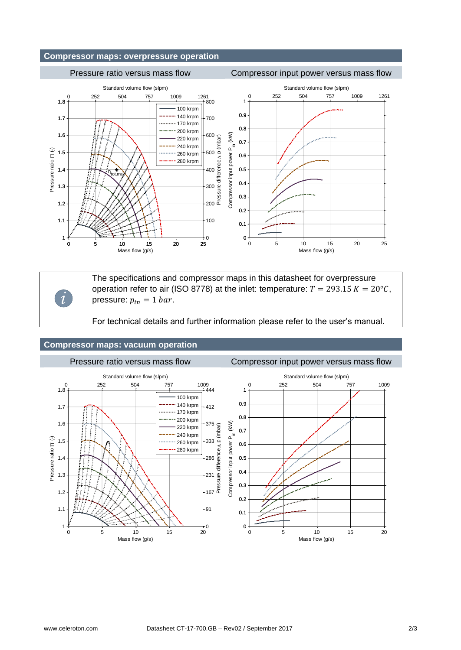## **Compressor maps: overpressure operation**

### Pressure ratio versus mass flow Compressor input power versus mass flow



*i*

The specifications and compressor maps in this datasheet for overpressure operation refer to air (ISO 8778) at the inlet: temperature:  $T = 293.15 K = 20^{\circ}C$ , pressure:  $p_{in} = 1$  bar.

For technical details and further information please refer to the user's manual.

#### **Compressor maps: vacuum operation**